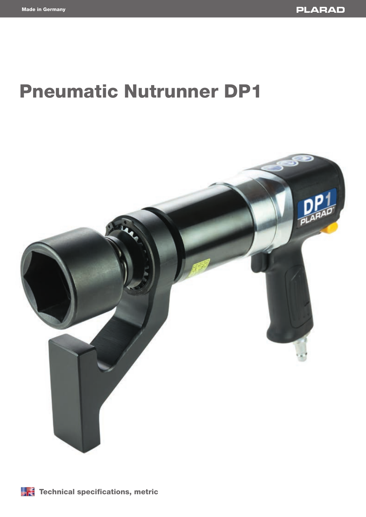# Pneumatic Nutrunner DP1



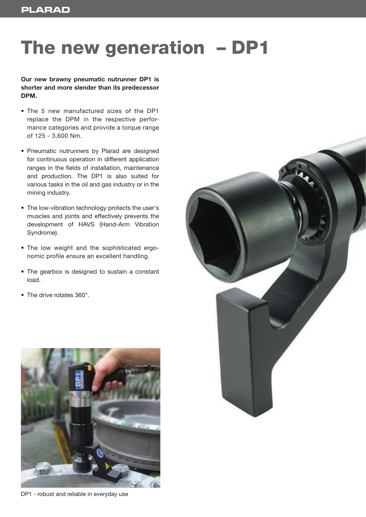### The new generation – DP1

#### **Our new brawny pneumatic nutrunner DP1 is shorter and more slender than its predecessor DPM.**

- The 5 new manufactured sizes of the DP1 replace the DPM in the respective performance categories and provide a torque range of 125 - 3,600 Nm.
- Pneumatic nutrunners by Plarad are designed for continuous operation in different application ranges in the fields of installation, maintenance and production. The DP1 is also suited for various tasks in the oil and gas industry or in the mining industry.
- The low-vibration technology protects the user's muscles and joints and effectively prevents the development of HAVS (Hand-Arm Vibration Syndrome).
- The low weight and the sophisticated ergonomic profile ensure an excellent handling.
- The gearbox is designed to sustain a constant load.
- The drive rotates 360°.



DP1 - robust and reliable in everyday use

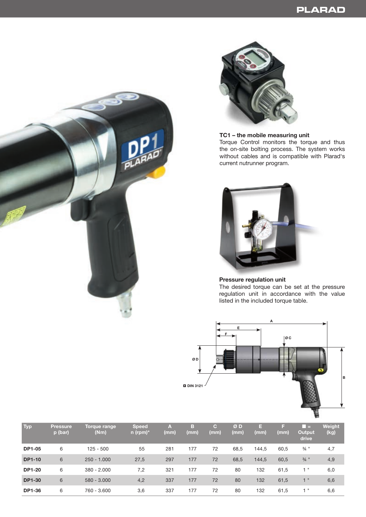



#### **TC1 – the mobile measuring unit**

Torque Control monitors the torque and thus the on-site bolting process. The system works without cables and is compatible with Plarad's current nutrunner program.



#### **Pressure regulation unit** The desired torque can be set at the pressure regulation unit in accordance with the value listed in the included torque table.



| Typ           | <b>Pressure</b><br>p (bar) | Torque range<br>(Nm) | <b>Speed</b><br>n (rpm)* | <b>A</b><br>(mm) | в<br>(mm) | G.<br>(mm) | ØD<br>(mm) | E<br>(mm) | ы<br>(mm) | l E<br>Output<br>drive | Weight<br>(kg) |
|---------------|----------------------------|----------------------|--------------------------|------------------|-----------|------------|------------|-----------|-----------|------------------------|----------------|
| <b>DP1-05</b> | 6                          | $125 - 500$          | 55                       | 281              | 177       | 72         | 68,5       | 144,5     | 60,5      | $\frac{3}{4}$ "        | 4,7            |
| <b>DP1-10</b> | 6                          | $250 - 1.000$        | 27,5                     | 297              | 177       | 72         | 68,5       | 144,5     | 60,5      | $\frac{3}{4}$ "        | 4,9            |
| <b>DP1-20</b> | 6                          | $380 - 2.000$        | 7,2                      | 321              | 177       | 72         | 80         | 132       | 61,5      | 1"                     | 6,0            |
| <b>DP1-30</b> | 6                          | $580 - 3.000$        | 4,2                      | 337              | 177       | 72         | 80         | 132       | 61,5      | $\mathbf{H}$<br>1.     | 6,6            |
| <b>DP1-36</b> | 6                          | 760 - 3.600          | 3,6                      | 337              | 177       | 72         | 80         | 132       | 61,5      | Ш                      | 6,6            |